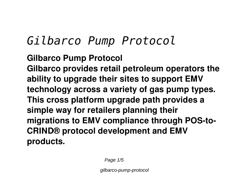## *Gilbarco Pump Protocol*

**Gilbarco Pump Protocol Gilbarco provides retail petroleum operators the ability to upgrade their sites to support EMV technology across a variety of gas pump types. This cross platform upgrade path provides a simple way for retailers planning their migrations to EMV compliance through POS-to-CRIND® protocol development and EMV products.**

Page 1/5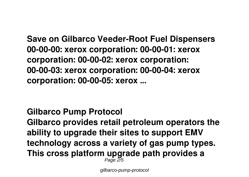**Save on Gilbarco Veeder-Root Fuel Dispensers 00-00-00: xerox corporation: 00-00-01: xerox corporation: 00-00-02: xerox corporation: 00-00-03: xerox corporation: 00-00-04: xerox corporation: 00-00-05: xerox ...**

**Gilbarco Pump Protocol Gilbarco provides retail petroleum operators the ability to upgrade their sites to support EMV technology across a variety of gas pump types. This cross platform upgrade path provides a**  $P$ age  $\frac{3}{5}$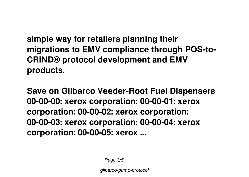**simple way for retailers planning their migrations to EMV compliance through POS-to-CRIND® protocol development and EMV products.**

**Save on Gilbarco Veeder-Root Fuel Dispensers 00-00-00: xerox corporation: 00-00-01: xerox corporation: 00-00-02: xerox corporation: 00-00-03: xerox corporation: 00-00-04: xerox corporation: 00-00-05: xerox ...**

Page 3/5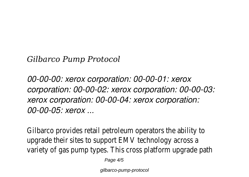*Gilbarco Pump Protocol*

*00-00-00: xerox corporation: 00-00-01: xerox corporation: 00-00-02: xerox corporation: 00-00-03: xerox corporation: 00-00-04: xerox corporation: 00-00-05: xerox ...*

Gilbarco provides retail petroleum operators the ability to upgrade their sites to support EMV technology across a variety of gas pump types. This cross platform upgrade path

Page  $4/5$